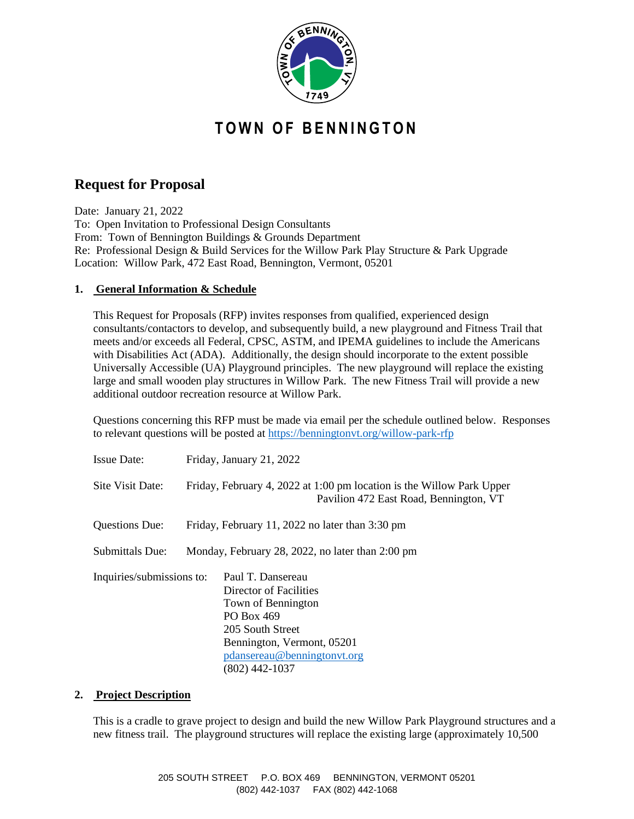

# **T O W N O F B E N N I N G T O N**

## **Request for Proposal**

Date: January 21, 2022 To: Open Invitation to Professional Design Consultants From: Town of Bennington Buildings & Grounds Department Re: Professional Design & Build Services for the Willow Park Play Structure & Park Upgrade Location: Willow Park, 472 East Road, Bennington, Vermont, 05201

### **1. General Information & Schedule**

This Request for Proposals (RFP) invites responses from qualified, experienced design consultants/contactors to develop, and subsequently build, a new playground and Fitness Trail that meets and/or exceeds all Federal, CPSC, ASTM, and IPEMA guidelines to include the Americans with Disabilities Act (ADA). Additionally, the design should incorporate to the extent possible Universally Accessible (UA) Playground principles. The new playground will replace the existing large and small wooden play structures in Willow Park. The new Fitness Trail will provide a new additional outdoor recreation resource at Willow Park.

Questions concerning this RFP must be made via email per the schedule outlined below. Responses to relevant questions will be posted at <https://benningtonvt.org/willow-park-rfp>

| <b>Issue Date:</b>        | Friday, January 21, 2022                                                                                        |                                                                                                                                                                                    |
|---------------------------|-----------------------------------------------------------------------------------------------------------------|------------------------------------------------------------------------------------------------------------------------------------------------------------------------------------|
| Site Visit Date:          | Friday, February 4, 2022 at 1:00 pm location is the Willow Park Upper<br>Pavilion 472 East Road, Bennington, VT |                                                                                                                                                                                    |
| Questions Due:            | Friday, February 11, 2022 no later than 3:30 pm                                                                 |                                                                                                                                                                                    |
| <b>Submittals Due:</b>    | Monday, February 28, 2022, no later than 2:00 pm                                                                |                                                                                                                                                                                    |
| Inquiries/submissions to: |                                                                                                                 | Paul T. Dansereau<br>Director of Facilities<br>Town of Bennington<br>PO Box 469<br>205 South Street<br>Bennington, Vermont, 05201<br>pdansereau@benningtonvt.org<br>(802) 442-1037 |

#### **2. Project Description**

This is a cradle to grave project to design and build the new Willow Park Playground structures and a new fitness trail. The playground structures will replace the existing large (approximately 10,500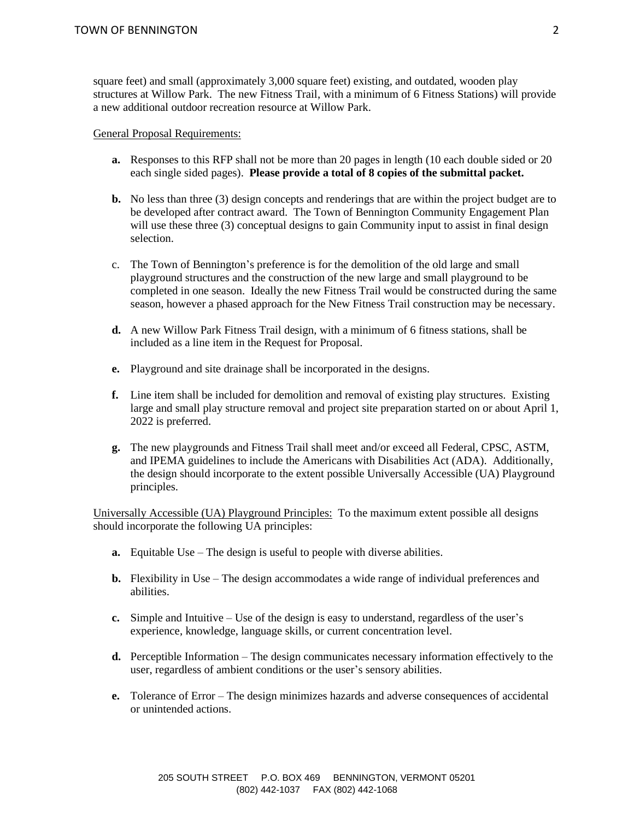square feet) and small (approximately 3,000 square feet) existing, and outdated, wooden play structures at Willow Park. The new Fitness Trail, with a minimum of 6 Fitness Stations) will provide a new additional outdoor recreation resource at Willow Park.

General Proposal Requirements:

- **a.** Responses to this RFP shall not be more than 20 pages in length (10 each double sided or 20 each single sided pages). **Please provide a total of 8 copies of the submittal packet.**
- **b.** No less than three (3) design concepts and renderings that are within the project budget are to be developed after contract award. The Town of Bennington Community Engagement Plan will use these three (3) conceptual designs to gain Community input to assist in final design selection.
- c. The Town of Bennington's preference is for the demolition of the old large and small playground structures and the construction of the new large and small playground to be completed in one season. Ideally the new Fitness Trail would be constructed during the same season, however a phased approach for the New Fitness Trail construction may be necessary.
- **d.** A new Willow Park Fitness Trail design, with a minimum of 6 fitness stations, shall be included as a line item in the Request for Proposal.
- **e.** Playground and site drainage shall be incorporated in the designs.
- **f.** Line item shall be included for demolition and removal of existing play structures. Existing large and small play structure removal and project site preparation started on or about April 1, 2022 is preferred.
- **g.** The new playgrounds and Fitness Trail shall meet and/or exceed all Federal, CPSC, ASTM, and IPEMA guidelines to include the Americans with Disabilities Act (ADA). Additionally, the design should incorporate to the extent possible Universally Accessible (UA) Playground principles.

Universally Accessible (UA) Playground Principles: To the maximum extent possible all designs should incorporate the following UA principles:

- **a.** Equitable Use The design is useful to people with diverse abilities.
- **b.** Flexibility in Use The design accommodates a wide range of individual preferences and abilities.
- **c.** Simple and Intuitive Use of the design is easy to understand, regardless of the user's experience, knowledge, language skills, or current concentration level.
- **d.** Perceptible Information The design communicates necessary information effectively to the user, regardless of ambient conditions or the user's sensory abilities.
- **e.** Tolerance of Error The design minimizes hazards and adverse consequences of accidental or unintended actions.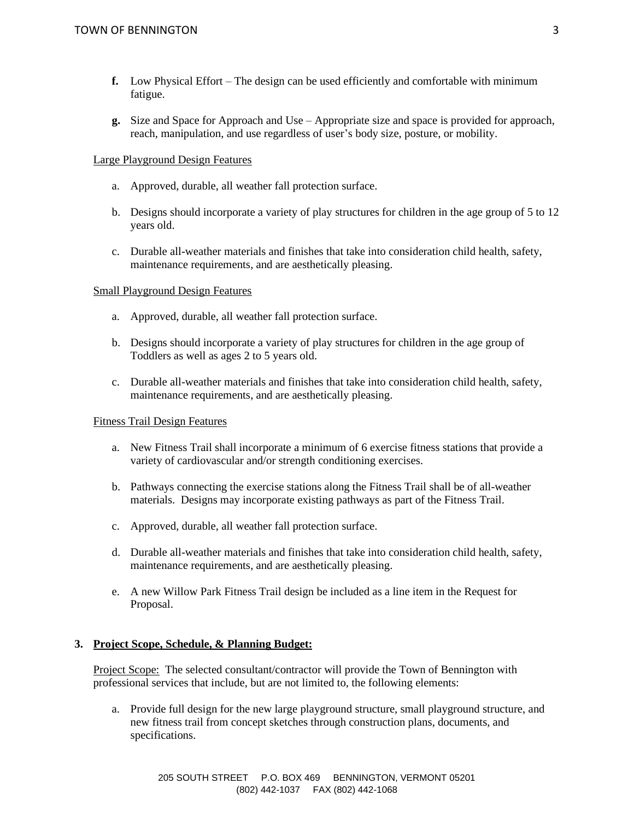- **f.** Low Physical Effort The design can be used efficiently and comfortable with minimum fatigue.
- **g.** Size and Space for Approach and Use Appropriate size and space is provided for approach, reach, manipulation, and use regardless of user's body size, posture, or mobility.

#### Large Playground Design Features

- a. Approved, durable, all weather fall protection surface.
- b. Designs should incorporate a variety of play structures for children in the age group of 5 to 12 years old.
- c. Durable all-weather materials and finishes that take into consideration child health, safety, maintenance requirements, and are aesthetically pleasing.

#### Small Playground Design Features

- a. Approved, durable, all weather fall protection surface.
- b. Designs should incorporate a variety of play structures for children in the age group of Toddlers as well as ages 2 to 5 years old.
- c. Durable all-weather materials and finishes that take into consideration child health, safety, maintenance requirements, and are aesthetically pleasing.

#### Fitness Trail Design Features

- a. New Fitness Trail shall incorporate a minimum of 6 exercise fitness stations that provide a variety of cardiovascular and/or strength conditioning exercises.
- b. Pathways connecting the exercise stations along the Fitness Trail shall be of all-weather materials. Designs may incorporate existing pathways as part of the Fitness Trail.
- c. Approved, durable, all weather fall protection surface.
- d. Durable all-weather materials and finishes that take into consideration child health, safety, maintenance requirements, and are aesthetically pleasing.
- e. A new Willow Park Fitness Trail design be included as a line item in the Request for Proposal.

#### **3. Project Scope, Schedule, & Planning Budget:**

Project Scope: The selected consultant/contractor will provide the Town of Bennington with professional services that include, but are not limited to, the following elements:

a. Provide full design for the new large playground structure, small playground structure, and new fitness trail from concept sketches through construction plans, documents, and specifications.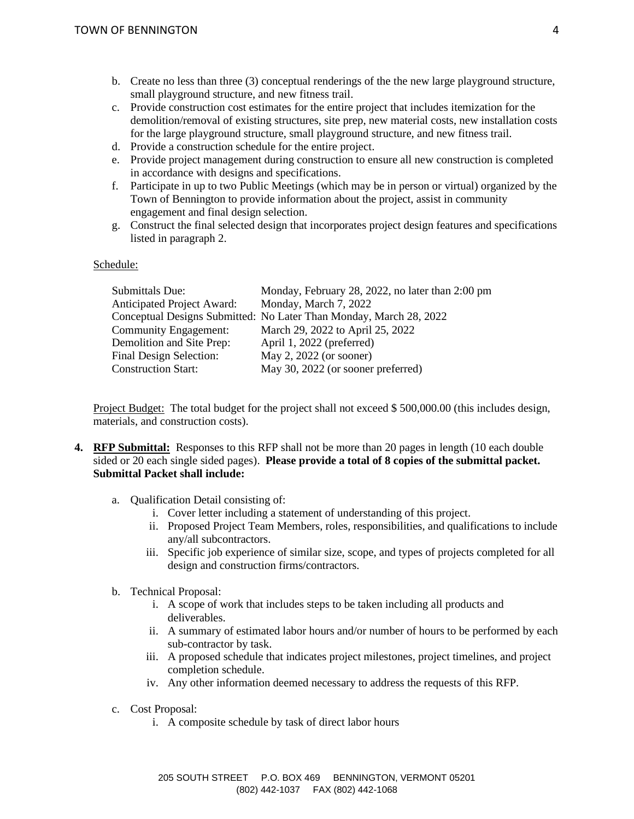- b. Create no less than three (3) conceptual renderings of the the new large playground structure, small playground structure, and new fitness trail.
- c. Provide construction cost estimates for the entire project that includes itemization for the demolition/removal of existing structures, site prep, new material costs, new installation costs for the large playground structure, small playground structure, and new fitness trail.
- d. Provide a construction schedule for the entire project.
- e. Provide project management during construction to ensure all new construction is completed in accordance with designs and specifications.
- f. Participate in up to two Public Meetings (which may be in person or virtual) organized by the Town of Bennington to provide information about the project, assist in community engagement and final design selection.
- g. Construct the final selected design that incorporates project design features and specifications listed in paragraph 2.

#### Schedule:

| Monday, February 28, 2022, no later than 2:00 pm                   |
|--------------------------------------------------------------------|
| Monday, March 7, 2022                                              |
| Conceptual Designs Submitted: No Later Than Monday, March 28, 2022 |
| March 29, 2022 to April 25, 2022                                   |
| April 1, 2022 (preferred)                                          |
| May 2, 2022 (or sooner)                                            |
| May 30, 2022 (or sooner preferred)                                 |
|                                                                    |

Project Budget: The total budget for the project shall not exceed \$ 500,000.00 (this includes design, materials, and construction costs).

- **4. RFP Submittal:** Responses to this RFP shall not be more than 20 pages in length (10 each double sided or 20 each single sided pages). **Please provide a total of 8 copies of the submittal packet. Submittal Packet shall include:**
	- a. Qualification Detail consisting of:
		- i. Cover letter including a statement of understanding of this project.
		- ii. Proposed Project Team Members, roles, responsibilities, and qualifications to include any/all subcontractors.
		- iii. Specific job experience of similar size, scope, and types of projects completed for all design and construction firms/contractors.
	- b. Technical Proposal:
		- i. A scope of work that includes steps to be taken including all products and deliverables.
		- ii. A summary of estimated labor hours and/or number of hours to be performed by each sub-contractor by task.
		- iii. A proposed schedule that indicates project milestones, project timelines, and project completion schedule.
		- iv. Any other information deemed necessary to address the requests of this RFP.
	- c. Cost Proposal:
		- i. A composite schedule by task of direct labor hours